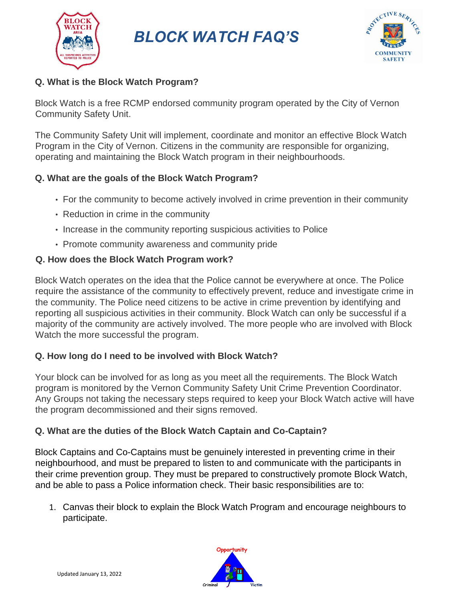

*BLOCK WATCH FAQ'S*



## **Q. What is the Block Watch Program?**

Block Watch is a free RCMP endorsed community program operated by the City of Vernon Community Safety Unit.

The Community Safety Unit will implement, coordinate and monitor an effective Block Watch Program in the City of Vernon. Citizens in the community are responsible for organizing, operating and maintaining the Block Watch program in their neighbourhoods.

### **Q. What are the goals of the Block Watch Program?**

- For the community to become actively involved in crime prevention in their community
- Reduction in crime in the community
- Increase in the community reporting suspicious activities to Police
- Promote community awareness and community pride

#### **Q. How does the Block Watch Program work?**

Block Watch operates on the idea that the Police cannot be everywhere at once. The Police require the assistance of the community to effectively prevent, reduce and investigate crime in the community. The Police need citizens to be active in crime prevention by identifying and reporting all suspicious activities in their community. Block Watch can only be successful if a majority of the community are actively involved. The more people who are involved with Block Watch the more successful the program.

### **Q. How long do I need to be involved with Block Watch?**

Your block can be involved for as long as you meet all the requirements. The Block Watch program is monitored by the Vernon Community Safety Unit Crime Prevention Coordinator. Any Groups not taking the necessary steps required to keep your Block Watch active will have the program decommissioned and their signs removed.

### **Q. What are the duties of the Block Watch Captain and Co-Captain?**

Block Captains and Co-Captains must be genuinely interested in preventing crime in their neighbourhood, and must be prepared to listen to and communicate with the participants in their crime prevention group. They must be prepared to constructively promote Block Watch, and be able to pass a Police information check. Their basic responsibilities are to:

1. Canvas their block to explain the Block Watch Program and encourage neighbours to participate.

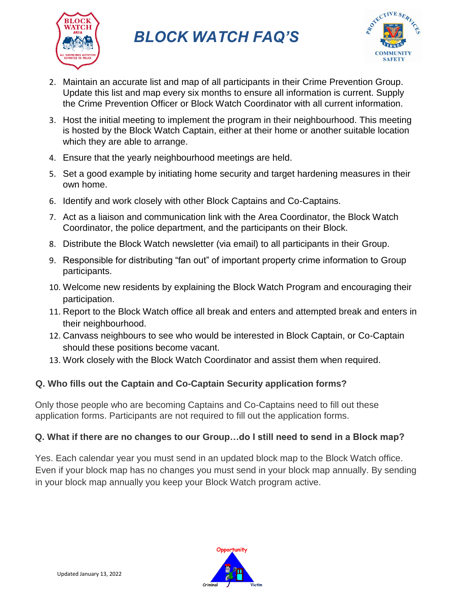

*BLOCK WATCH FAQ'S*



- 2. Maintain an accurate list and map of all participants in their Crime Prevention Group. Update this list and map every six months to ensure all information is current. Supply the Crime Prevention Officer or Block Watch Coordinator with all current information.
- 3. Host the initial meeting to implement the program in their neighbourhood. This meeting is hosted by the Block Watch Captain, either at their home or another suitable location which they are able to arrange.
- 4. Ensure that the yearly neighbourhood meetings are held.
- 5. Set a good example by initiating home security and target hardening measures in their own home.
- 6. Identify and work closely with other Block Captains and Co-Captains.
- 7. Act as a liaison and communication link with the Area Coordinator, the Block Watch Coordinator, the police department, and the participants on their Block.
- 8. Distribute the Block Watch newsletter (via email) to all participants in their Group.
- 9. Responsible for distributing "fan out" of important property crime information to Group participants.
- 10. Welcome new residents by explaining the Block Watch Program and encouraging their participation.
- 11. Report to the Block Watch office all break and enters and attempted break and enters in their neighbourhood.
- 12. Canvass neighbours to see who would be interested in Block Captain, or Co-Captain should these positions become vacant.
- 13. Work closely with the Block Watch Coordinator and assist them when required.

# **Q. Who fills out the Captain and Co-Captain Security application forms?**

Only those people who are becoming Captains and Co-Captains need to fill out these application forms. Participants are not required to fill out the application forms.

# **Q. What if there are no changes to our Group…do I still need to send in a Block map?**

Yes. Each calendar year you must send in an updated block map to the Block Watch office. Even if your block map has no changes you must send in your block map annually. By sending in your block map annually you keep your Block Watch program active.